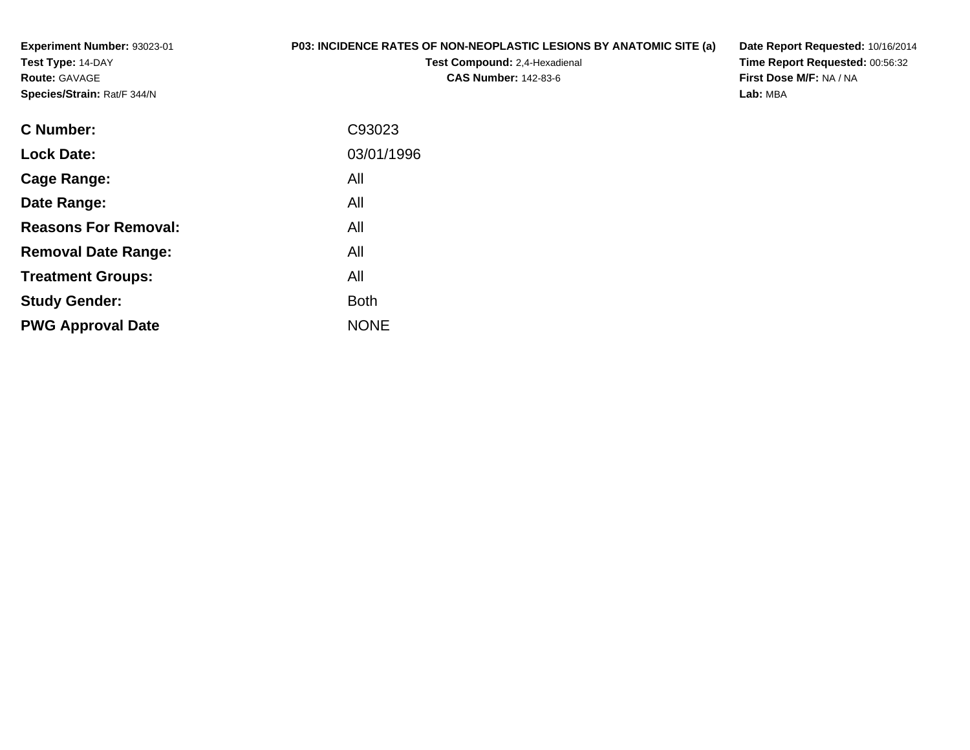**Experiment Number:** 93023-01**Test Type:** 14-DAY**Route:** GAVAGE**Species/Strain:** Rat/F 344/N

## **P03: INCIDENCE RATES OF NON-NEOPLASTIC LESIONS BY ANATOMIC SITE (a)**

**Test Compound:** 2,4-Hexadienal **CAS Number:** 142-83-6

**Date Report Requested:** 10/16/2014 **Time Report Requested:** 00:56:32**First Dose M/F:** NA / NA**Lab:** MBA

| <b>C</b> Number:            | C93023      |
|-----------------------------|-------------|
| <b>Lock Date:</b>           | 03/01/1996  |
| Cage Range:                 | All         |
| Date Range:                 | All         |
| <b>Reasons For Removal:</b> | All         |
| <b>Removal Date Range:</b>  | All         |
| <b>Treatment Groups:</b>    | All         |
| <b>Study Gender:</b>        | <b>Both</b> |
| <b>PWG Approval Date</b>    | <b>NONE</b> |
|                             |             |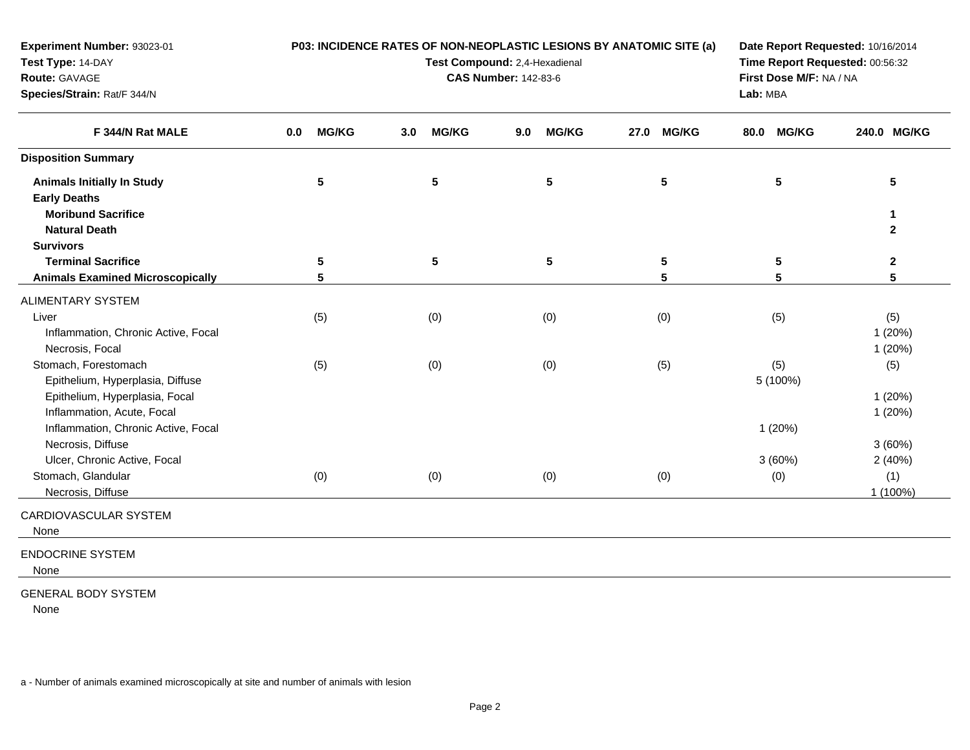| Experiment Number: 93023-01<br>Test Type: 14-DAY<br>Route: GAVAGE<br>Species/Strain: Rat/F 344/N | P03: INCIDENCE RATES OF NON-NEOPLASTIC LESIONS BY ANATOMIC SITE (a)<br>Test Compound: 2,4-Hexadienal<br><b>CAS Number: 142-83-6</b> |                     |                |     |                 |      |                 | Date Report Requested: 10/16/2014<br>Time Report Requested: 00:56:32<br>First Dose M/F: NA / NA<br>Lab: MBA |                 |  |                              |
|--------------------------------------------------------------------------------------------------|-------------------------------------------------------------------------------------------------------------------------------------|---------------------|----------------|-----|-----------------|------|-----------------|-------------------------------------------------------------------------------------------------------------|-----------------|--|------------------------------|
| F 344/N Rat MALE                                                                                 | 0.0                                                                                                                                 | <b>MG/KG</b><br>3.0 | <b>MG/KG</b>   | 9.0 | <b>MG/KG</b>    | 27.0 | <b>MG/KG</b>    | 80.0                                                                                                        | <b>MG/KG</b>    |  | 240.0 MG/KG                  |
| <b>Disposition Summary</b>                                                                       |                                                                                                                                     |                     |                |     |                 |      |                 |                                                                                                             |                 |  |                              |
| <b>Animals Initially In Study</b><br><b>Early Deaths</b>                                         | $5\phantom{.0}$                                                                                                                     |                     | $5\phantom{a}$ |     | $5\phantom{.0}$ |      | $5\phantom{.0}$ |                                                                                                             | $5\phantom{.0}$ |  | 5                            |
| <b>Moribund Sacrifice</b><br><b>Natural Death</b>                                                |                                                                                                                                     |                     |                |     |                 |      |                 |                                                                                                             |                 |  | $\mathbf{1}$<br>$\mathbf{2}$ |
| <b>Survivors</b>                                                                                 |                                                                                                                                     |                     |                |     |                 |      |                 |                                                                                                             |                 |  |                              |
| <b>Terminal Sacrifice</b>                                                                        | $5\phantom{.0}$                                                                                                                     |                     | $\sqrt{5}$     |     | $5\phantom{.0}$ |      | $\sqrt{5}$      |                                                                                                             | 5               |  | $\boldsymbol{2}$             |
| <b>Animals Examined Microscopically</b>                                                          | 5                                                                                                                                   |                     |                |     |                 |      | 5               |                                                                                                             | 5               |  | 5                            |
| ALIMENTARY SYSTEM                                                                                |                                                                                                                                     |                     |                |     |                 |      |                 |                                                                                                             |                 |  |                              |
| Liver<br>Inflammation, Chronic Active, Focal<br>Necrosis, Focal                                  | (5)                                                                                                                                 |                     | (0)            |     | (0)             |      | (0)             |                                                                                                             | (5)             |  | (5)<br>1(20%)<br>1(20%)      |
| Stomach, Forestomach<br>Epithelium, Hyperplasia, Diffuse                                         | (5)                                                                                                                                 |                     | (0)            |     | (0)             |      | (5)             |                                                                                                             | (5)<br>5 (100%) |  | (5)                          |
| Epithelium, Hyperplasia, Focal<br>Inflammation, Acute, Focal                                     |                                                                                                                                     |                     |                |     |                 |      |                 |                                                                                                             |                 |  | 1(20%)<br>1(20%)             |
| Inflammation, Chronic Active, Focal<br>Necrosis, Diffuse                                         |                                                                                                                                     |                     |                |     |                 |      |                 |                                                                                                             | 1(20%)          |  | 3(60%)                       |
| Ulcer, Chronic Active, Focal                                                                     |                                                                                                                                     |                     |                |     |                 |      |                 |                                                                                                             | 3(60%)          |  | 2(40%)                       |
| Stomach, Glandular<br>Necrosis, Diffuse                                                          | (0)                                                                                                                                 |                     | (0)            |     | (0)             |      | (0)             |                                                                                                             | (0)             |  | (1)<br>1 (100%)              |
| CARDIOVASCULAR SYSTEM<br>None                                                                    |                                                                                                                                     |                     |                |     |                 |      |                 |                                                                                                             |                 |  |                              |
| <b>ENDOCRINE SYSTEM</b><br>None                                                                  |                                                                                                                                     |                     |                |     |                 |      |                 |                                                                                                             |                 |  |                              |
| <b>GENERAL BODY SYSTEM</b><br>None                                                               |                                                                                                                                     |                     |                |     |                 |      |                 |                                                                                                             |                 |  |                              |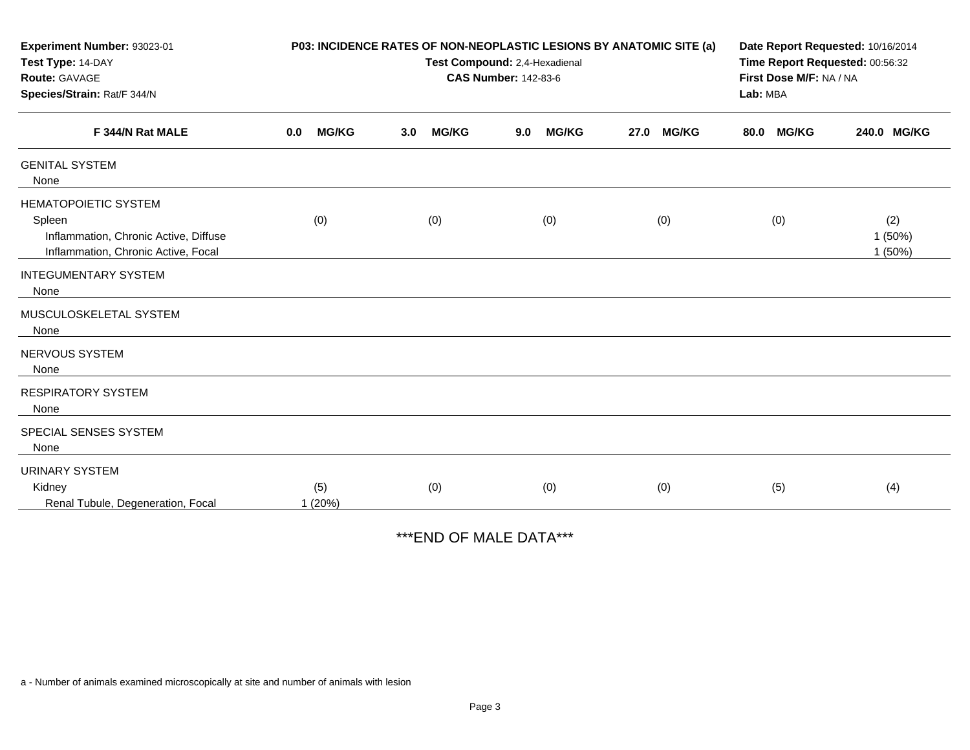| Experiment Number: 93023-01<br>Test Type: 14-DAY                                                                      | P03: INCIDENCE RATES OF NON-NEOPLASTIC LESIONS BY ANATOMIC SITE (a)<br>Test Compound: 2,4-Hexadienal |     |              |     |              |      |              |                                     | Date Report Requested: 10/16/2014<br>Time Report Requested: 00:56:32 |                         |  |
|-----------------------------------------------------------------------------------------------------------------------|------------------------------------------------------------------------------------------------------|-----|--------------|-----|--------------|------|--------------|-------------------------------------|----------------------------------------------------------------------|-------------------------|--|
| Route: GAVAGE<br>Species/Strain: Rat/F 344/N<br>F 344/N Rat MALE                                                      | <b>CAS Number: 142-83-6</b>                                                                          |     |              |     |              |      |              | First Dose M/F: NA / NA<br>Lab: MBA |                                                                      |                         |  |
|                                                                                                                       | <b>MG/KG</b><br>0.0                                                                                  | 3.0 | <b>MG/KG</b> | 9.0 | <b>MG/KG</b> | 27.0 | <b>MG/KG</b> | 80.0                                | <b>MG/KG</b>                                                         | 240.0 MG/KG             |  |
| <b>GENITAL SYSTEM</b><br>None                                                                                         |                                                                                                      |     |              |     |              |      |              |                                     |                                                                      |                         |  |
| <b>HEMATOPOIETIC SYSTEM</b><br>Spleen<br>Inflammation, Chronic Active, Diffuse<br>Inflammation, Chronic Active, Focal | (0)                                                                                                  |     | (0)          |     | (0)          |      | (0)          |                                     | (0)                                                                  | (2)<br>1(50%)<br>1(50%) |  |
| <b>INTEGUMENTARY SYSTEM</b><br>None                                                                                   |                                                                                                      |     |              |     |              |      |              |                                     |                                                                      |                         |  |
| MUSCULOSKELETAL SYSTEM<br>None                                                                                        |                                                                                                      |     |              |     |              |      |              |                                     |                                                                      |                         |  |
| NERVOUS SYSTEM<br>None                                                                                                |                                                                                                      |     |              |     |              |      |              |                                     |                                                                      |                         |  |
| <b>RESPIRATORY SYSTEM</b><br>None                                                                                     |                                                                                                      |     |              |     |              |      |              |                                     |                                                                      |                         |  |
| SPECIAL SENSES SYSTEM<br>None                                                                                         |                                                                                                      |     |              |     |              |      |              |                                     |                                                                      |                         |  |
| <b>URINARY SYSTEM</b><br>Kidney<br>Renal Tubule, Degeneration, Focal                                                  | (5)<br>1(20%)                                                                                        |     | (0)          |     | (0)          |      | (0)          |                                     | (5)                                                                  | (4)                     |  |

\*\*\*END OF MALE DATA\*\*\*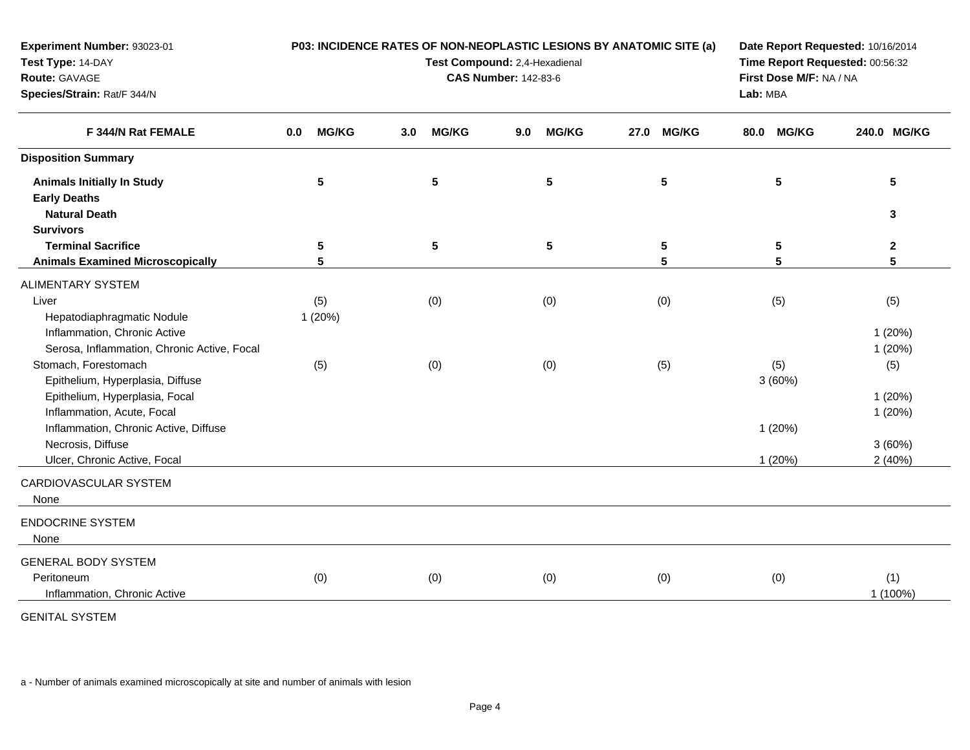| Experiment Number: 93023-01                 |                         | P03: INCIDENCE RATES OF NON-NEOPLASTIC LESIONS BY ANATOMIC SITE (a) | Date Report Requested: 10/16/2014 |                      |                      |              |
|---------------------------------------------|-------------------------|---------------------------------------------------------------------|-----------------------------------|----------------------|----------------------|--------------|
| Test Type: 14-DAY                           |                         | Test Compound: 2,4-Hexadienal                                       | Time Report Requested: 00:56:32   |                      |                      |              |
| Route: GAVAGE                               |                         | <b>CAS Number: 142-83-6</b>                                         | First Dose M/F: NA / NA           |                      |                      |              |
| Species/Strain: Rat/F 344/N                 |                         |                                                                     |                                   | Lab: MBA             |                      |              |
| F 344/N Rat FEMALE                          | <b>MG/KG</b><br>$0.0\,$ | <b>MG/KG</b><br>3.0                                                 | <b>MG/KG</b><br>9.0               | <b>MG/KG</b><br>27.0 | <b>MG/KG</b><br>80.0 | 240.0 MG/KG  |
| <b>Disposition Summary</b>                  |                         |                                                                     |                                   |                      |                      |              |
| <b>Animals Initially In Study</b>           | 5                       | ${\bf 5}$                                                           | 5                                 | $5\phantom{.0}$      | $5\phantom{.0}$      | 5            |
| <b>Early Deaths</b>                         |                         |                                                                     |                                   |                      |                      |              |
| <b>Natural Death</b>                        |                         |                                                                     |                                   |                      |                      | 3            |
| <b>Survivors</b>                            |                         |                                                                     |                                   |                      |                      |              |
| <b>Terminal Sacrifice</b>                   | 5                       | $5\phantom{.0}$                                                     | 5                                 | $\sqrt{5}$           | 5                    | $\mathbf{2}$ |
| <b>Animals Examined Microscopically</b>     | 5                       |                                                                     |                                   | 5                    | 5                    | 5            |
| ALIMENTARY SYSTEM                           |                         |                                                                     |                                   |                      |                      |              |
| Liver                                       | (5)                     | (0)                                                                 | (0)                               | (0)                  | (5)                  | (5)          |
| Hepatodiaphragmatic Nodule                  | 1(20%)                  |                                                                     |                                   |                      |                      |              |
| Inflammation, Chronic Active                |                         |                                                                     |                                   |                      |                      | 1(20%)       |
| Serosa, Inflammation, Chronic Active, Focal |                         |                                                                     |                                   |                      |                      | 1(20%)       |
| Stomach, Forestomach                        | (5)                     | (0)                                                                 | (0)                               | (5)                  | (5)                  | (5)          |
| Epithelium, Hyperplasia, Diffuse            |                         |                                                                     |                                   |                      | 3(60%)               |              |
| Epithelium, Hyperplasia, Focal              |                         |                                                                     |                                   |                      |                      | 1(20%)       |
| Inflammation, Acute, Focal                  |                         |                                                                     |                                   |                      |                      | 1(20%)       |
| Inflammation, Chronic Active, Diffuse       |                         |                                                                     |                                   |                      | 1(20%)               |              |
| Necrosis, Diffuse                           |                         |                                                                     |                                   |                      |                      | 3(60%)       |
| Ulcer, Chronic Active, Focal                |                         |                                                                     |                                   |                      | 1(20%)               | 2(40%)       |
| CARDIOVASCULAR SYSTEM                       |                         |                                                                     |                                   |                      |                      |              |
| None                                        |                         |                                                                     |                                   |                      |                      |              |
| <b>ENDOCRINE SYSTEM</b>                     |                         |                                                                     |                                   |                      |                      |              |
| None                                        |                         |                                                                     |                                   |                      |                      |              |
| <b>GENERAL BODY SYSTEM</b>                  |                         |                                                                     |                                   |                      |                      |              |
| Peritoneum                                  | (0)                     | (0)                                                                 | (0)                               | (0)                  | (0)                  | (1)          |
| Inflammation, Chronic Active                |                         |                                                                     |                                   |                      |                      | 1 (100%)     |
| <b>GENITAL SYSTEM</b>                       |                         |                                                                     |                                   |                      |                      |              |
|                                             |                         |                                                                     |                                   |                      |                      |              |